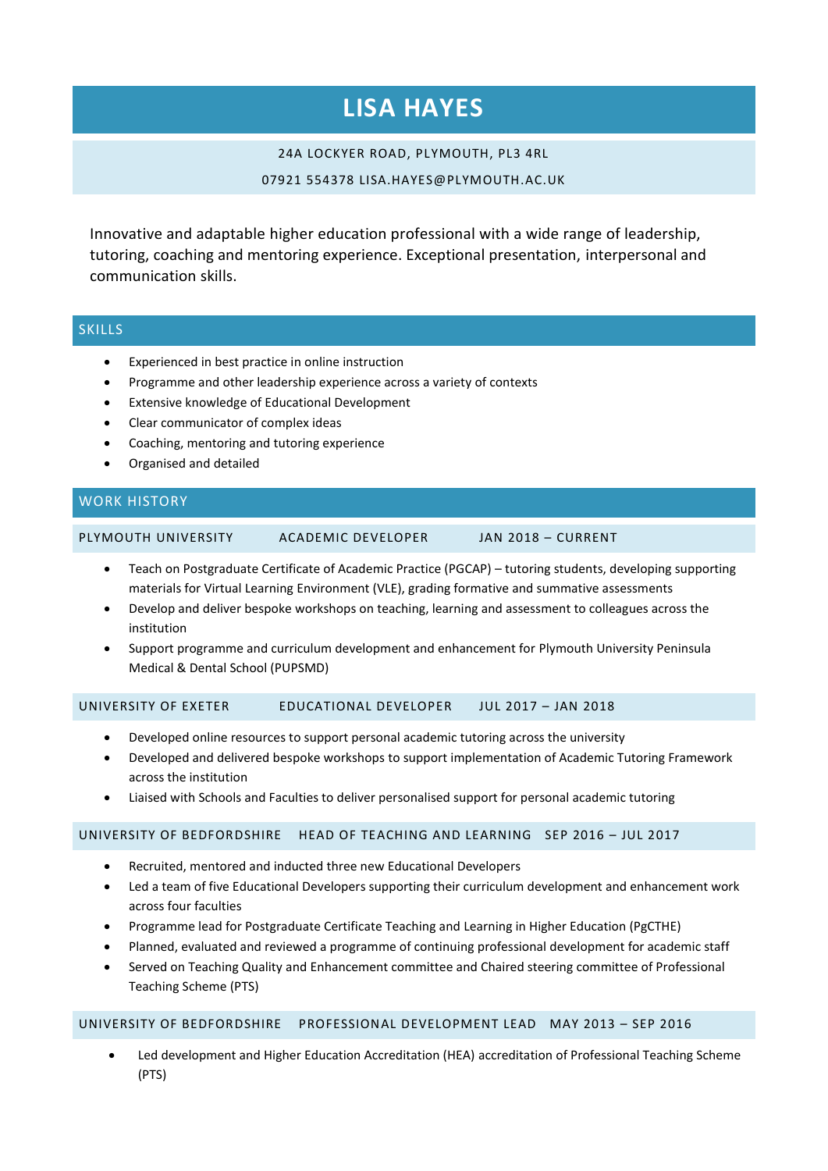# **LISA HAYES**

### 24A LOCKYER ROAD, PLYMOUTH, PL3 4RL

#### 07921 554378 LISA.HAYES@PLYMOUTH.AC.UK

Innovative and adaptable higher education professional with a wide range of leadership, tutoring, coaching and mentoring experience. Exceptional presentation, interpersonal and communication skills.

# SKILLS

- Experienced in best practice in online instruction
- Programme and other leadership experience across a variety of contexts
- Extensive knowledge of Educational Development
- Clear communicator of complex ideas
- Coaching, mentoring and tutoring experience
- Organised and detailed

# WORK HISTORY

PLYMOUTH UNIVERSITY ACADEMIC DEVELOPER JAN 2018 – CURRENT

- Teach on Postgraduate Certificate of Academic Practice (PGCAP) tutoring students, developing supporting materials for Virtual Learning Environment (VLE), grading formative and summative assessments
- Develop and deliver bespoke workshops on teaching, learning and assessment to colleagues across the institution
- Support programme and curriculum development and enhancement for Plymouth University Peninsula Medical & Dental School (PUPSMD)

# UNIVERSITY OF EXETER EDUCATIONAL DEVELOPER JUL 2017 – JAN 2018

- Developed online resources to support personal academic tutoring across the university
- Developed and delivered bespoke workshops to support implementation of Academic Tutoring Framework across the institution
- Liaised with Schools and Faculties to deliver personalised support for personal academic tutoring

#### UNIVERSITY OF BEDFORDSHIRE HEAD OF TEACHING AND LEARNING SEP 2016 – JUL 2017

- Recruited, mentored and inducted three new Educational Developers
- Led a team of five Educational Developers supporting their curriculum development and enhancement work across four faculties
- Programme lead for Postgraduate Certificate Teaching and Learning in Higher Education (PgCTHE)
- Planned, evaluated and reviewed a programme of continuing professional development for academic staff
- Served on Teaching Quality and Enhancement committee and Chaired steering committee of Professional Teaching Scheme (PTS)

#### UNIVERSITY OF BEDFORDSHIRE PROFESSIONAL DEVELOPMENT LEAD MAY 2013 – SEP 2016

 Led development and Higher Education Accreditation (HEA) accreditation of Professional Teaching Scheme (PTS)